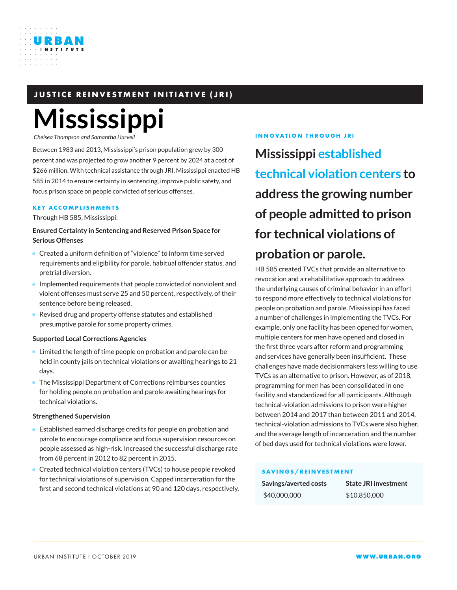# **JUSTICE REINVESTMENT INITIATIVE (JRI)**

# **Mississippi**

*Chelsea Thompson and Samantha Harvell*

URBAN

Between 1983 and 2013, Mississippi's prison population grew by 300 percent and was projected to grow another 9 percent by 2024 at a cost of \$266 million. With technical assistance through JRI, Mississippi enacted HB 585 in 2014 to ensure certainty in sentencing, improve public safety, and focus prison space on people convicted of serious offenses.

#### **KEY ACCOMPLISHMENTS**

Through HB 585, Mississippi:

**Ensured Certainty in Sentencing and Reserved Prison Space for Serious Offenses**

Created a uniform definition of "violence" to inform time served requirements and eligibility for parole, habitual offender status, and pretrial diversion.

Implemented requirements that people convicted of nonviolent and violent offenses must serve 25 and 50 percent, respectively, of their sentence before being released.

Revised drug and property offense statutes and established presumptive parole for some property crimes.

#### **Supported Local Corrections Agencies**

Limited the length of time people on probation and parole can be held in county jails on technical violations or awaiting hearings to 21 days.

The Mississippi Department of Corrections reimburses counties for holding people on probation and parole awaiting hearings for technical violations.

#### **Strengthened Supervision**

Established earned discharge credits for people on probation and parole to encourage compliance and focus supervision resources on people assessed as high-risk. Increased the successful discharge rate from 68 percent in 2012 to 82 percent in 2015.

Created technical violation centers (TVCs) to house people revoked for technical violations of supervision. Capped incarceration for the first and second technical violations at 90 and 120 days, respectively.

#### **INNOVATION THROUGH JRI**

**Mississippi established technical violation centers to address the growing number of people admitted to prison for technical violations of probation or parole.**

HB 585 created TVCs that provide an alternative to revocation and a rehabilitative approach to address the underlying causes of criminal behavior in an effort to respond more effectively to technical violations for people on probation and parole. Mississippi has faced a number of challenges in implementing the TVCs. For example, only one facility has been opened for women, multiple centers for men have opened and closed in the first three years after reform and programming and services have generally been insufficient. These challenges have made decisionmakers less willing to use TVCs as an alternative to prison. However, as of 2018, programming for men has been consolidated in one facility and standardized for all participants. Although technical-violation admissions to prison were higher between 2014 and 2017 than between 2011 and 2014, technical-violation admissions to TVCs were also higher, and the average length of incarceration and the number of bed days used for technical violations were lower.

#### **SAVINGS/REINVESTMENT**

| Savings/averted costs |  |
|-----------------------|--|
| \$40,000,000          |  |

**State JRI investment** \$40,000,000 \$10,850,000